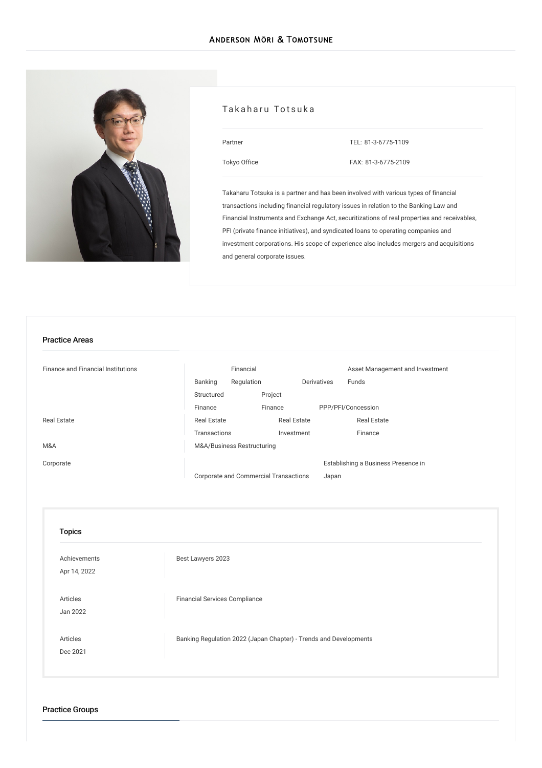

### Takaharu Totsuka

| Partner      |  |
|--------------|--|
| Tokyo Office |  |

TEL: [81-3-6775-1109](tel:81-3-6775-1109)

FAX: 81-3-6775-2109

Takaharu Totsuka is a partner and has been involved with various types of financial transactions including financial regulatory issues in relation to the Banking Law and Financial Instruments and Exchange Act, securitizations of real properties and receivables, PFI (private finance initiatives), and syndicated loans to operating companies and investment corporations. His scope of experience also includes mergers and acquisitions and general corporate issues.

#### Practice Areas

| <b>Finance and Financial Institutions</b> | Financial                             |                    |             | Asset Management and Investment     |
|-------------------------------------------|---------------------------------------|--------------------|-------------|-------------------------------------|
|                                           | Banking<br>Regulation                 |                    | Derivatives | Funds                               |
|                                           | Structured                            | Project            |             |                                     |
|                                           | Finance                               | Finance            |             | PPP/PFI/Concession                  |
| <b>Real Estate</b>                        | <b>Real Estate</b>                    | <b>Real Estate</b> |             | <b>Real Estate</b>                  |
|                                           | Transactions                          | Investment         |             | Finance                             |
| M&A                                       | M&A/Business Restructuring            |                    |             |                                     |
| Corporate                                 |                                       |                    |             | Establishing a Business Presence in |
|                                           | Corporate and Commercial Transactions |                    | Japan       |                                     |

| <b>Topics</b>                |                                                                   |
|------------------------------|-------------------------------------------------------------------|
| Achievements<br>Apr 14, 2022 | Best Lawyers 2023                                                 |
| Articles<br>Jan 2022         | <b>Financial Services Compliance</b>                              |
| Articles<br>Dec 2021         | Banking Regulation 2022 (Japan Chapter) - Trends and Developments |

Practice Groups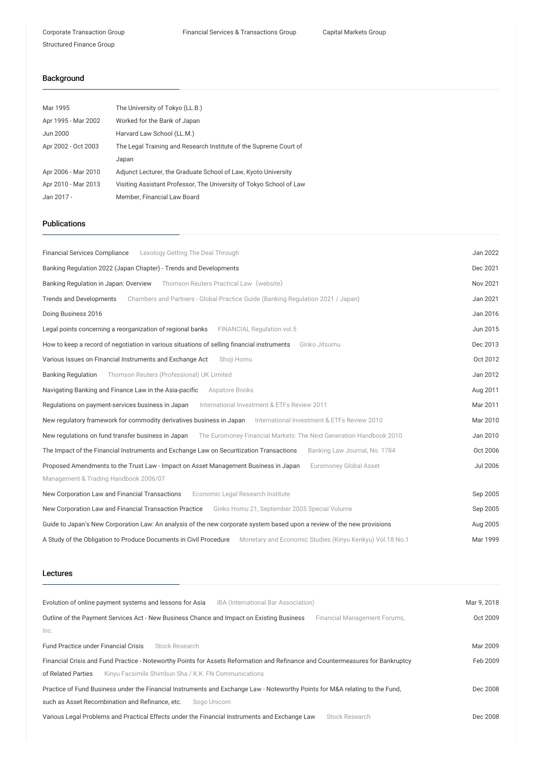# Background

| Mar 1995            | The University of Tokyo (LL.B.)                                     |
|---------------------|---------------------------------------------------------------------|
| Apr 1995 - Mar 2002 | Worked for the Bank of Japan                                        |
| Jun 2000            | Harvard Law School (LL.M.)                                          |
| Apr 2002 - Oct 2003 | The Legal Training and Research Institute of the Supreme Court of   |
|                     | Japan                                                               |
| Apr 2006 - Mar 2010 | Adjunct Lecturer, the Graduate School of Law, Kyoto University      |
| Apr 2010 - Mar 2013 | Visiting Assistant Professor, The University of Tokyo School of Law |
| Jan 2017 -          | Member, Financial Law Board                                         |

#### Publications

| Lexology Getting The Deal Through<br><b>Financial Services Compliance</b>                                                  | Jan 2022        |
|----------------------------------------------------------------------------------------------------------------------------|-----------------|
| Banking Regulation 2022 (Japan Chapter) - Trends and Developments                                                          | Dec 2021        |
| Banking Regulation in Japan: Overview Thomson Reuters Practical Law (website)                                              | Nov 2021        |
| <b>Trends and Developments</b><br>Chambers and Partners - Global Practice Guide (Banking Regulation 2021 / Japan)          | Jan 2021        |
| Doing Business 2016                                                                                                        | Jan 2016        |
| Legal points concerning a reorganization of regional banks<br>FINANCIAL Regulation vol.5                                   | Jun 2015        |
| How to keep a record of negotiation in various situations of selling financial instruments<br>Ginko Jitsumu                | Dec 2013        |
| Various Issues on Financial Instruments and Exchange Act<br>Shoji Homu                                                     | Oct 2012        |
| Thomson Reuters (Professional) UK Limited<br><b>Banking Regulation</b>                                                     | Jan 2012        |
| Navigating Banking and Finance Law in the Asia-pacific<br>Aspatore Books                                                   | Aug 2011        |
| International Investment & ETFs Review 2011<br>Regulations on payment-services business in Japan                           | Mar 2011        |
| New requlatory framework for commodity derivatives business in Japan International Investment & ETFs Review 2010           | Mar 2010        |
| New regulations on fund transfer business in Japan<br>The Euromoney Financial Markets: The Next Generation Handbook 2010   | Jan 2010        |
| The Impact of the Financial Instruments and Exchange Law on Securitization Transactions<br>Banking Law Journal, No. 1784   | Oct 2006        |
| Proposed Amendments to the Trust Law - Impact on Asset Management Business in Japan<br><b>Euromoney Global Asset</b>       | <b>Jul 2006</b> |
| Management & Trading Handbook 2006/07                                                                                      |                 |
| New Corporation Law and Financial Transactions<br>Economic Legal Research Institute                                        | Sep 2005        |
| New Corporation Law and Financial Transaction Practice<br>Ginko Homu 21, September 2005 Special Volume                     | Sep 2005        |
| Guide to Japan's New Corporation Law: An analysis of the new corporate system based upon a review of the new provisions    | Aug 2005        |
| A Study of the Obligation to Produce Documents in Civil Procedure Monetary and Economic Studies (Kinyu Kenkyu) Vol.18 No.1 | Mar 1999        |

### Lectures

| Evolution of online payment systems and lessons for Asia<br>IBA (International Bar Association)                                | Mar 9, 2018 |
|--------------------------------------------------------------------------------------------------------------------------------|-------------|
| Outline of the Payment Services Act - New Business Chance and Impact on Existing Business<br>Financial Management Forums,      | Oct 2009    |
| Inc.                                                                                                                           |             |
| <b>Fund Practice under Financial Crisis</b><br>Stock Research                                                                  | Mar 2009    |
| Financial Crisis and Fund Practice - Noteworthy Points for Assets Reformation and Refinance and Countermeasures for Bankruptcy | Feb 2009    |
| of Related Parties<br>Kinyu Facsimile Shimbun Sha / K.K. FN Communications                                                     |             |
| Practice of Fund Business under the Financial Instruments and Exchange Law - Noteworthy Points for M&A relating to the Fund,   | Dec 2008    |
| such as Asset Recombination and Refinance, etc.<br>Sogo Unicom                                                                 |             |
| Various Legal Problems and Practical Effects under the Financial Instruments and Exchange Law<br>Stock Research                | Dec 2008    |